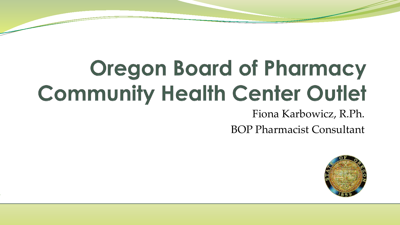## **Oregon Board of Pharmacy Community Health Center Outlet**

#### Fiona Karbowicz, R.Ph.

BOP Pharmacist Consultant

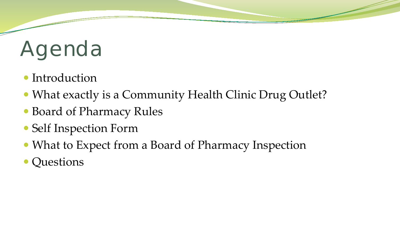# Agenda

- Introduction
- What exactly is a Community Health Clinic Drug Outlet?
- Board of Pharmacy Rules
- Self Inspection Form
- What to Expect from a Board of Pharmacy Inspection
- Questions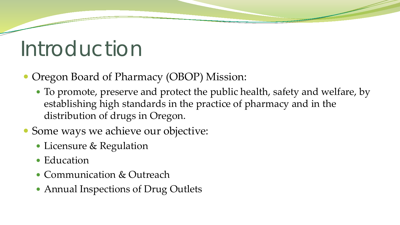#### Introduction

- Oregon Board of Pharmacy (OBOP) Mission:
	- To promote, preserve and protect the public health, safety and welfare, by establishing high standards in the practice of pharmacy and in the distribution of drugs in Oregon.
- Some ways we achieve our objective:
	- Licensure & Regulation
	- Education
	- Communication & Outreach
	- Annual Inspections of Drug Outlets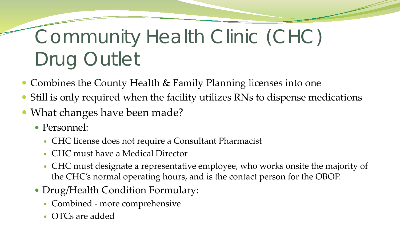#### Community Health Clinic (CHC) Drug Outlet

- Combines the County Health & Family Planning licenses into one
- Still is only required when the facility utilizes RNs to dispense medications
- What changes have been made?
	- Personnel:
		- CHC license does not require a Consultant Pharmacist
		- CHC must have a Medical Director
		- CHC must designate a representative employee, who works onsite the majority of the CHC's normal operating hours, and is the contact person for the OBOP.
	- Drug/Health Condition Formulary:
		- Combined more comprehensive
		- OTCs are added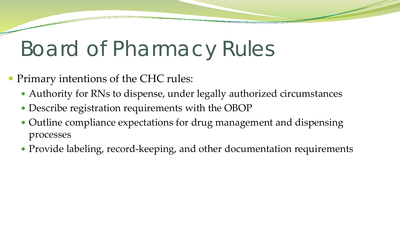#### Board of Pharmacy Rules

- Primary intentions of the CHC rules:
	- Authority for RNs to dispense, under legally authorized circumstances
	- Describe registration requirements with the OBOP
	- Outline compliance expectations for drug management and dispensing processes
	- Provide labeling, record-keeping, and other documentation requirements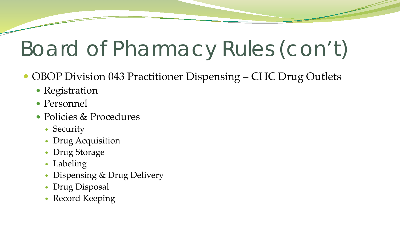## Board of Pharmacy Rules (con't)

- OBOP Division 043 Practitioner Dispensing CHC Drug Outlets
	- Registration
	- Personnel
	- Policies & Procedures
		- Security
		- Drug Acquisition
		- Drug Storage
		- Labeling
		- Dispensing & Drug Delivery
		- Drug Disposal
		- Record Keeping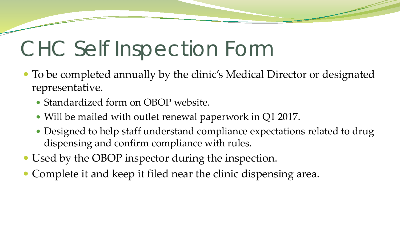#### CHC Self Inspection Form

- To be completed annually by the clinic's Medical Director or designated representative.
	- Standardized form on OBOP website.
	- Will be mailed with outlet renewal paperwork in Q1 2017.
	- Designed to help staff understand compliance expectations related to drug dispensing and confirm compliance with rules.
- Used by the OBOP inspector during the inspection.
- Complete it and keep it filed near the clinic dispensing area.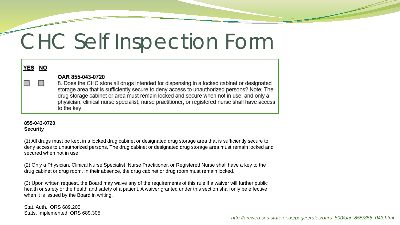#### CHC Self Inspection Form

| <b>YES NO</b> |                                                                                                                                                                                                                                                                                                                                                                                                                         |
|---------------|-------------------------------------------------------------------------------------------------------------------------------------------------------------------------------------------------------------------------------------------------------------------------------------------------------------------------------------------------------------------------------------------------------------------------|
| HT 1          | OAR 855-043-0720<br>8. Does the CHC store all drugs intended for dispensing in a locked cabinet or designated<br>storage area that is sufficiently secure to deny access to unauthorized persons? Note: The<br>drug storage cabinet or area must remain locked and secure when not in use, and only a<br>physician, clinical nurse specialist, nurse practitioner, or registered nurse shall have access<br>to the key. |

#### **855-043-0720 Security**

(1) All drugs must be kept in a locked drug cabinet or designated drug storage area that is sufficiently secure to deny access to unauthorized persons. The drug cabinet or designated drug storage area must remain locked and secured when not in use.

(2) Only a Physician, Clinical Nurse Specialist, Nurse Practitioner, or Registered Nurse shall have a key to the drug cabinet or drug room. In their absence, the drug cabinet or drug room must remain locked.

(3) Upon written request, the Board may waive any of the requirements of this rule if a waiver will further public health or safety or the health and safety of a patient. A waiver granted under this section shall only be effective when it is issued by the Board in writing.

Stat. Auth.: ORS 689.205 Stats. Implemented: ORS 689.305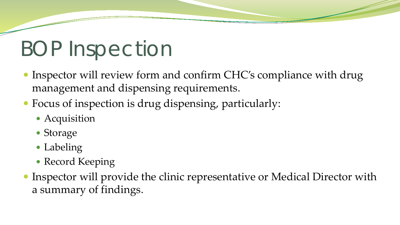#### BOP Inspection

- Inspector will review form and confirm CHC's compliance with drug management and dispensing requirements.
- Focus of inspection is drug dispensing, particularly:
	- Acquisition
	- Storage
	- Labeling
	- Record Keeping
- Inspector will provide the clinic representative or Medical Director with a summary of findings.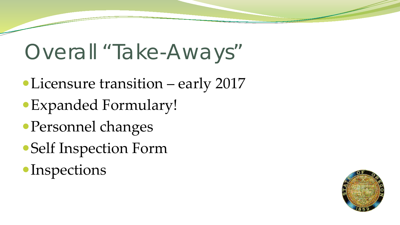#### Overall "Take-Aways"

- Licensure transition early 2017
- Expanded Formulary!
- Personnel changes
- Self Inspection Form
- **Inspections**

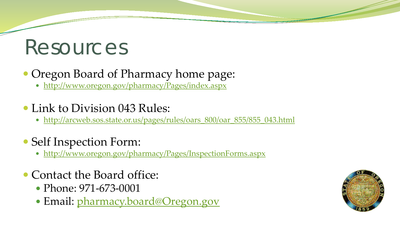#### Resources

#### • Oregon Board of Pharmacy home page:

- <http://www.oregon.gov/pharmacy/Pages/index.aspx>
- Link to Division 043 Rules:
	- http://arcweb.sos.state.or.us/pages/rules/oars 800/oar 855/855\_043.html
- Self Inspection Form:
	- <http://www.oregon.gov/pharmacy/Pages/InspectionForms.aspx>
- Contact the Board office:
	- Phone: 971-673-0001
	- Email: [pharmacy.board@Oregon.gov](mailto:pharmacy.board@Oregon.gov)